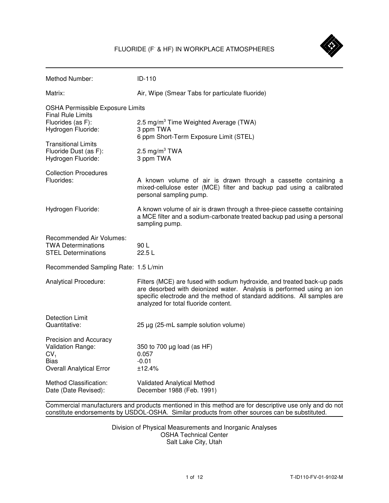

| Method Number:                                                                                            | ID-110                                                                                                                                                                                                                                                               |  |  |  |
|-----------------------------------------------------------------------------------------------------------|----------------------------------------------------------------------------------------------------------------------------------------------------------------------------------------------------------------------------------------------------------------------|--|--|--|
| Matrix:                                                                                                   | Air, Wipe (Smear Tabs for particulate fluoride)                                                                                                                                                                                                                      |  |  |  |
| <b>OSHA Permissible Exposure Limits</b><br><b>Final Rule Limits</b>                                       |                                                                                                                                                                                                                                                                      |  |  |  |
| Fluorides (as F):<br>Hydrogen Fluoride:                                                                   | 2.5 mg/m <sup>3</sup> Time Weighted Average (TWA)<br>3 ppm TWA<br>6 ppm Short-Term Exposure Limit (STEL)                                                                                                                                                             |  |  |  |
| <b>Transitional Limits</b><br>Fluoride Dust (as F):<br>Hydrogen Fluoride:                                 | 2.5 mg/m <sup>3</sup> TWA<br>3 ppm TWA                                                                                                                                                                                                                               |  |  |  |
| <b>Collection Procedures</b><br>Fluorides:                                                                | A known volume of air is drawn through a cassette containing a<br>mixed-cellulose ester (MCE) filter and backup pad using a calibrated<br>personal sampling pump.                                                                                                    |  |  |  |
| Hydrogen Fluoride:                                                                                        | A known volume of air is drawn through a three-piece cassette containing<br>a MCE filter and a sodium-carbonate treated backup pad using a personal<br>sampling pump.                                                                                                |  |  |  |
| <b>Recommended Air Volumes:</b><br><b>TWA Determinations</b><br><b>STEL Determinations</b>                | 90L<br>22.5L                                                                                                                                                                                                                                                         |  |  |  |
| Recommended Sampling Rate: 1.5 L/min                                                                      |                                                                                                                                                                                                                                                                      |  |  |  |
| Analytical Procedure:                                                                                     | Filters (MCE) are fused with sodium hydroxide, and treated back-up pads<br>are desorbed with deionized water. Analysis is performed using an ion<br>specific electrode and the method of standard additions. All samples are<br>analyzed for total fluoride content. |  |  |  |
| Detection Limit<br>Quantitative:                                                                          | 25 µg (25-mL sample solution volume)                                                                                                                                                                                                                                 |  |  |  |
| Precision and Accuracy<br>Validation Range:<br>CV <sub>1</sub><br>Bias<br><b>Overall Analytical Error</b> | 350 to 700 $\mu$ g load (as HF)<br>0.057<br>$-0.01$<br>±12.4%                                                                                                                                                                                                        |  |  |  |
| Method Classification:<br>Date (Date Revised):                                                            | Validated Analytical Method<br>December 1988 (Feb. 1991)                                                                                                                                                                                                             |  |  |  |

 Commercial manufacturers and products mentioned in this method are for descriptive use only and do not constitute endorsements by USDOL-OSHA. Similar products from other sources can be substituted.

> Division of Physical Measurements and Inorganic Analyses OSHA Technical Center Salt Lake City, Utah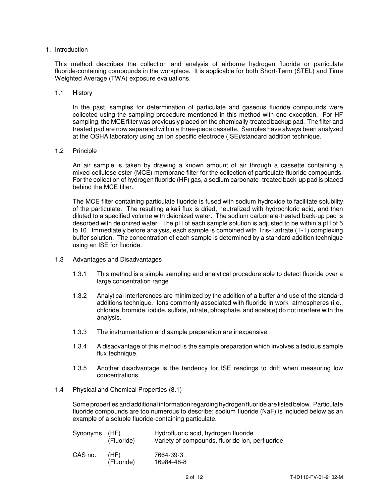#### 1. Introduction

 This method describes the collection and analysis of airborne hydrogen fluoride or particulate fluoride-containing compounds in the workplace. It is applicable for both Short-Term (STEL) and Time Weighted Average (TWA) exposure evaluations.

#### 1.1 History

 In the past, samples for determination of particulate and gaseous fluoride compounds were collected using the sampling procedure mentioned in this method with one exception. For HF sampling, the MCE filter was previously placed on the chemically-treated backup pad. The filter and treated pad are now separated within a three-piece cassette. Samples have always been analyzed at the OSHA laboratory using an ion specific electrode (ISE)/standard addition technique.

#### 1.2 Principle

 An air sample is taken by drawing a known amount of air through a cassette containing a mixed-cellulose ester (MCE) membrane filter for the collection of particulate fluoride compounds. For the collection of hydrogen fluoride (HF) gas, a sodium carbonate- treated back-up pad is placed behind the MCE filter.

 The MCE filter containing particulate fluoride is fused with sodium hydroxide to facilitate solubility of the particulate. The resulting alkali flux is dried, neutralized with hydrochloric acid, and then diluted to a specified volume with deionized water. The sodium carbonate-treated back-up pad is desorbed with deionized water. The pH of each sample solution is adjusted to be within a pH of 5 to 10. Immediately before analysis, each sample is combined with Tris-Tartrate (T-T) complexing buffer solution. The concentration of each sample is determined by a standard addition technique using an ISE for fluoride.

- 1.3 Advantages and Disadvantages
	- 1.3.1 This method is a simple sampling and analytical procedure able to detect fluoride over a large concentration range.
	- 1.3.2 Analytical interferences are minimized by the addition of a buffer and use of the standard additions technique. Ions commonly associated with fluoride in work atmospheres (i.e., chloride, bromide, iodide, sulfate, nitrate, phosphate, and acetate) do not interfere with the analysis.
	- 1.3.3 The instrumentation and sample preparation are inexpensive.
	- 1.3.4 A disadvantage of this method is the sample preparation which involves a tedious sample flux technique.
	- 1.3.5 Another disadvantage is the tendency for ISE readings to drift when measuring low concentrations.
- 1.4 Physical and Chemical Properties (8.1)

 Some properties and additional information regarding hydrogen fluoride are listed below. Particulate fluoride compounds are too numerous to describe; sodium fluoride (NaF) is included below as an example of a soluble fluoride-containing particulate.

| Synonyms (HF) | (Fluoride)         | Hydrofluoric acid, hydrogen fluoride<br>Variety of compounds, fluoride ion, perfluoride |
|---------------|--------------------|-----------------------------------------------------------------------------------------|
| CAS no.       | (HF)<br>(Fluoride) | 7664-39-3<br>16984-48-8                                                                 |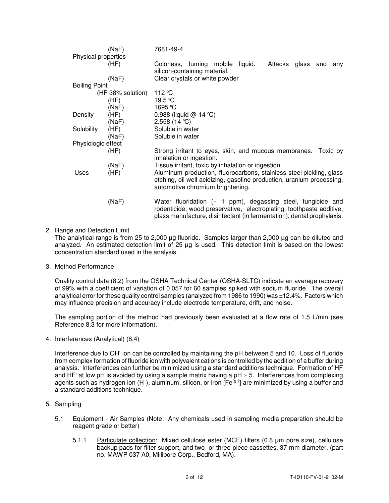| Physical properties  | (NaF)             | 7681-49-4                                                                                                                                                                                                            |  |  |  |  |
|----------------------|-------------------|----------------------------------------------------------------------------------------------------------------------------------------------------------------------------------------------------------------------|--|--|--|--|
|                      | (HF)              | Colorless, fuming mobile<br>liquid.<br>Attacks glass and<br>anv<br>silicon-containing material.                                                                                                                      |  |  |  |  |
|                      | (NaF)             | Clear crystals or white powder                                                                                                                                                                                       |  |  |  |  |
| <b>Boiling Point</b> |                   |                                                                                                                                                                                                                      |  |  |  |  |
|                      | (HF 38% solution) | 112 °C                                                                                                                                                                                                               |  |  |  |  |
|                      | (HF)              | 19.5 °C                                                                                                                                                                                                              |  |  |  |  |
|                      | (NaF)             | 1695 °C                                                                                                                                                                                                              |  |  |  |  |
| Density              | (HF)              | 0.988 (liquid $@$ 14 °C)                                                                                                                                                                                             |  |  |  |  |
|                      | (NaF)             | 2.558 (14 °C)                                                                                                                                                                                                        |  |  |  |  |
| Solubility           | (HF)              | Soluble in water                                                                                                                                                                                                     |  |  |  |  |
|                      | (NaF)             | Soluble in water                                                                                                                                                                                                     |  |  |  |  |
| Physiologic effect   |                   |                                                                                                                                                                                                                      |  |  |  |  |
|                      | (HF)              | Strong irritant to eyes, skin, and mucous membranes. Toxic by<br>inhalation or ingestion.                                                                                                                            |  |  |  |  |
|                      | (NaF)             | Tissue irritant, toxic by inhalation or ingestion.                                                                                                                                                                   |  |  |  |  |
| Uses                 | (HF)              | Aluminum production, fluorocarbons, stainless steel pickling, glass<br>etching, oil well acidizing, gasoline production, uranium processing,<br>automotive chromium brightening.                                     |  |  |  |  |
|                      | (NaF)             | Water fluoridation ( $\sim$ 1 ppm), degassing steel, fungicide and<br>rodenticide, wood preservative, electroplating, toothpaste additive,<br>glass manufacture, disinfectant (in fermentation), dental prophylaxis. |  |  |  |  |

# 2. Range and Detection Limit

 The analytical range is from 25 to 2,000 µg fluoride. Samples larger than 2,000 µg can be diluted and analyzed. An estimated detection limit of 25 µg is used. This detection limit is based on the lowest concentration standard used in the analysis.

#### 3. Method Performance

 Quality control data (8.2) from the OSHA Technical Center (OSHA-SLTC) indicate an average recovery of 99% with a coefficient of variation of 0.057 for 60 samples spiked with sodium fluoride. The overall analytical error for these quality control samples (analyzed from 1986 to 1990) was ±12.4%. Factors which may influence precision and accuracy include electrode temperature, drift, and noise.

 The sampling portion of the method had previously been evaluated at a flow rate of 1.5 L/min (see Reference 8.3 for more information).

4. Interferences (Analytical) (8.4)

Interference due to OH ion can be controlled by maintaining the pH between 5 and 10. Loss of fluoride from complex formation of fluoride ion with polyvalent cations is controlled by the addition of a buffer during analysis. Interferences can further be minimized using a standard additions technique. Formation of HF and HF at low pH is avoided by using a sample matrix having a pH  $\geq$  5. Interferences from complexing agents such as hydrogen ion (H<sup>+</sup>), aluminum, silicon, or iron [Fe<sup>(3+)</sup>] are minimized by using a buffer and a standard additions technique.

- 5. Sampling
	- 5.1 Equipment Air Samples (Note: Any chemicals used in sampling media preparation should be reagent grade or better)
		- 5.1.1 Particulate collection: Mixed cellulose ester (MCE) filters (0.8 μm pore size), cellulose backup pads for filter support, and two- or three-piece cassettes, 37-mm diameter, (part no. MAWP 037 A0, Millipore Corp., Bedford, MA).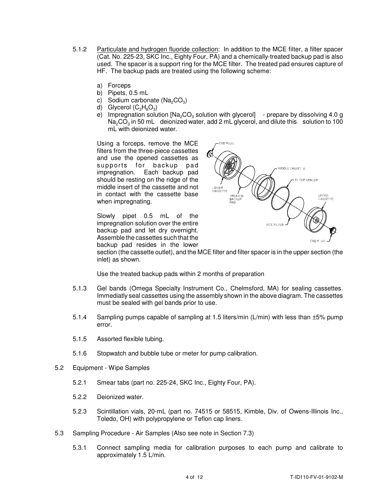- 5.1.2 Particulate and hydrogen fluoride collection: In addition to the MCE filter, a filter spacer (Cat. No. 225-23, SKC Inc., Eighty Four, PA) and a chemically-treated backup pad is also used. The spacer is a support ring for the MCE filter. The treated pad ensures capture of HF. The backup pads are treated using the following scheme:
	- a) Forceps
	- b) Pipets, 0.5 mL
	- c) Sodium carbonate (Na<sub>2</sub>CO<sub>3</sub>)
	- d) Glycerol  $(C_3H_8O_3)$
	- e) Impregnation solution [Na<sub>2</sub>CO<sub>3</sub> solution with glycerol]  $-$  prepare by dissolving 4.0 g  $\textsf{Na}_2\textsf{CO}_3$  in 50 mL deionized water, add 2 mL glycerol, and dilute this solution to 100 mL with deionized water.

 Using a forceps, remove the MCE filters from the three-piece cassettes and use the opened cassettes as s upports for back up pad impregnation. Each backup pad should be resting on the ridge of the middle insert of the cassette and not in contact with the cassette base when impregnating.

 Slowly pipet 0.5 mL of the impregnation solution over the entire backup pad and let dry overnight. Assemble the cassettes such that the backup pad resides in the lower



 section (the cassette outlet), and the MCE filter and filter spacer is in the upper section (the inlet) as shown.

Use the treated backup pads within 2 months of preparation

- 5.1.3 Gel bands (Omega Specialty Instrument Co., Chelmsford, MA) for sealing cassettes. Immediatly seal cassettes using the assembly shown in the above diagram. The cassettes must be sealed with gel bands prior to use.
- 5.1.4 Sampling pumps capable of sampling at 1.5 liters/min (L/min) with less than ±5% pump error.
- 5.1.5 Assorted flexible tubing.
- 5.1.6 Stopwatch and bubble tube or meter for pump calibration.
- 5.2 Equipment Wipe Samples
	- 5.2.1 Smear tabs (part no. 225-24, SKC Inc., Eighty Four, PA).
	- 5.2.2 Deionized water.
	- 5.2.3 Scintillation vials, 20-mL (part no. 74515 or 58515, Kimble, Div. of Owens-Illinois Inc., Toledo, OH) with polypropylene or Teflon cap liners.
- 5.3 Sampling Procedure Air Samples (Also see note in Section 7.3)
	- 5.3.1 Connect sampling media for calibration purposes to each pump and calibrate to approximately 1.5 L/min.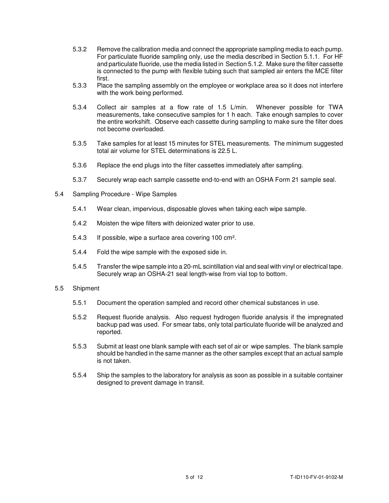- 5.3.2 Remove the calibration media and connect the appropriate sampling media to each pump. For particulate fluoride sampling only, use the media described in Section 5.1.1. For HF and particulate fluoride, use the media listed in Section 5.1.2. Make sure the filter cassette is connected to the pump with flexible tubing such that sampled air enters the MCE filter first.
- 5.3.3 Place the sampling assembly on the employee or workplace area so it does not interfere with the work being performed.
- 5.3.4 Collect air samples at a flow rate of 1.5 L/min. Whenever possible for TWA measurements, take consecutive samples for 1 h each. Take enough samples to cover the entire workshift. Observe each cassette during sampling to make sure the filter does not become overloaded.
- 5.3.5 Take samples for at least 15 minutes for STEL measurements. The minimum suggested total air volume for STEL determinations is 22.5 L.
- 5.3.6 Replace the end plugs into the filter cassettes immediately after sampling.
- 5.3.7 Securely wrap each sample cassette end-to-end with an OSHA Form 21 sample seal.
- 5.4 Sampling Procedure Wipe Samples
	- 5.4.1 Wear clean, impervious, disposable gloves when taking each wipe sample.
	- 5.4.2 Moisten the wipe filters with deionized water prior to use.
	- 5.4.3 If possible, wipe a surface area covering 100 cm<sup>2</sup>.
	- 5.4.4 Fold the wipe sample with the exposed side in.
	- 5.4.5 Transfer the wipe sample into a 20-mL scintillation vial and seal with vinyl or electrical tape. Securely wrap an OSHA-21 seal length-wise from vial top to bottom.
- 5.5 Shipment
	- 5.5.1 Document the operation sampled and record other chemical substances in use.
	- 5.5.2 Request fluoride analysis. Also request hydrogen fluoride analysis if the impregnated backup pad was used. For smear tabs, only total particulate fluoride will be analyzed and reported.
	- 5.5.3 Submit at least one blank sample with each set of air or wipe samples. The blank sample should be handled in the same manner as the other samples except that an actual sample is not taken.
	- 5.5.4 Ship the samples to the laboratory for analysis as soon as possible in a suitable container designed to prevent damage in transit.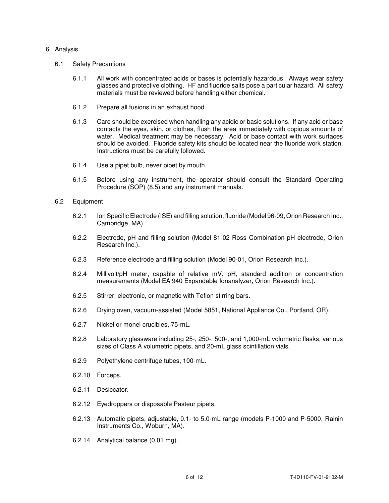#### 6. Analysis

- 6.1 Safety Precautions
	- 6.1.1 All work with concentrated acids or bases is potentially hazardous. Always wear safety glasses and protective clothing. HF and fluoride salts pose a particular hazard. All safety materials must be reviewed before handling either chemical.
	- 6.1.2 Prepare all fusions in an exhaust hood.
	- 6.1.3 Care should be exercised when handling any acidic or basic solutions. If any acid or base contacts the eyes, skin, or clothes, flush the area immediately with copious amounts of water. Medical treatment may be necessary. Acid or base contact with work surfaces should be avoided. Fluoride safety kits should be located near the fluoride work station. Instructions must be carefully followed.
	- 6.1.4. Use a pipet bulb, never pipet by mouth.
	- 6.1.5 Before using any instrument, the operator should consult the Standard Operating Procedure (SOP) (8.5) and any instrument manuals.

#### 6.2 Equipment

- 6.2.1 Ion Specific Electrode (ISE) and filling solution, fluoride (Model 96-09, Orion Research Inc., Cambridge, MA).
- 6.2.2 Electrode, pH and filling solution (Model 81-02 Ross Combination pH electrode, Orion Research Inc.).
- 6.2.3 Reference electrode and filling solution (Model 90-01, Orion Research Inc.).
- 6.2.4 Millivolt/pH meter, capable of relative mV, pH, standard addition or concentration measurements (Model EA 940 Expandable Ionanalyzer, Orion Research Inc.).
- 6.2.5 Stirrer, electronic, or magnetic with Teflon stirring bars.
- 6.2.6 Drying oven, vacuum-assisted (Model 5851, National Appliance Co., Portland, OR).
- 6.2.7 Nickel or monel crucibles, 75-mL.
- 6.2.8 Laboratory glassware including 25-, 250-, 500-, and 1,000-mL volumetric flasks, various sizes of Class A volumetric pipets, and 20-mL glass scintillation vials.
- 6.2.9 Polyethylene centrifuge tubes, 100-mL.
- 6.2.10 Forceps.
- 6.2.11 Desiccator.
- 6.2.12 Eyedroppers or disposable Pasteur pipets.
- 6.2.13 Automatic pipets, adjustable, 0.1- to 5.0-mL range (models P-1000 and P-5000, Rainin Instruments Co., Woburn, MA).
- 6.2.14 Analytical balance (0.01 mg).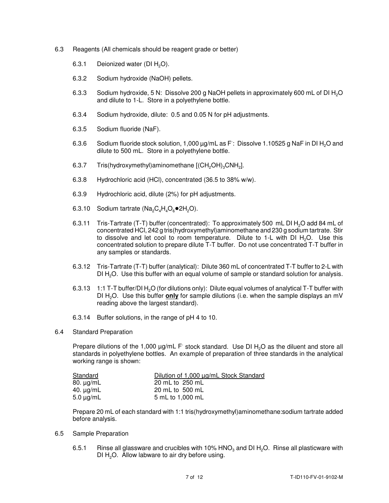- 6.3 Reagents (All chemicals should be reagent grade or better)
	- 6.3.1 Deionized water (DI  $H_2O$ ).
	- 6.3.2 Sodium hydroxide (NaOH) pellets.
	- 6.3.3 Sodium hydroxide, 5 N: Dissolve 200 g NaOH pellets in approximately 600 mL of DI H<sub>2</sub>O and dilute to 1-L. Store in a polyethylene bottle.
	- 6.3.4 Sodium hydroxide, dilute: 0.5 and 0.05 N for pH adjustments.
	- 6.3.5 Sodium fluoride (NaF).
	- 6.3.6 Sodium fluoride stock solution, 1,000  $\mu$ g/mL as F: Dissolve 1.10525 g NaF in DI H<sub>2</sub>O and dilute to 500 mL. Store in a polyethylene bottle.
	- 6.3.7 Tris(hydroxymethyl)aminomethane  $[(CH_2OH)_3CNH_2]$ .
	- 6.3.8 Hydrochloric acid (HCl), concentrated (36.5 to 38% w/w).
	- 6.3.9 Hydrochloric acid, dilute (2%) for pH adjustments.
	- 6.3.10 Sodium tartrate ( $Na_2C_4H_4O_6$ •2H<sub>2</sub>O).
	- 6.3.11 Tris-Tartrate (T-T) buffer (concentrated): To approximately 500 mL DI  $H_2O$  add 84 mL of concentrated HCl, 242 g tris(hydroxymethyl)aminomethane and 230 g sodium tartrate. Stir to dissolve and let cool to room temperature. Dilute to 1-L with DI  $H_2O$ . Use this concentrated solution to prepare dilute T-T buffer. Do not use concentrated T-T buffer in any samples or standards.
	- 6.3.12 Tris-Tartrate (T-T) buffer (analytical): Dilute 360 mL of concentrated T-T buffer to 2-L with DI  $H_2O$ . Use this buffer with an equal volume of sample or standard solution for analysis.
	- 6.3.13 1:1 T-T buffer/DI H<sub>2</sub>O (for dilutions only): Dilute equal volumes of analytical T-T buffer with reading above the largest standard). DI H2O. Use this buffer **only** for sample dilutions (i.e. when the sample displays an mV
	- 6.3.14 Buffer solutions, in the range of pH 4 to 10.
- 6.4 Standard Preparation

Prepare dilutions of the 1,000  $\mu$ g/mL F stock standard. Use DI H<sub>2</sub>O as the diluent and store all standards in polyethylene bottles. An example of preparation of three standards in the analytical working range is shown:

| Standard       | Dilution of 1,000 µg/mL Stock Standard |
|----------------|----------------------------------------|
| 80. $\mu$ g/mL | 20 mL to 250 mL                        |
| 40. $\mu$ g/mL | 20 mL to 500 mL                        |
| $5.0 \mu g/mL$ | 5 mL to 1,000 mL                       |

 Prepare 20 mL of each standard with 1:1 tris(hydroxymethyl)aminomethane:sodium tartrate added before analysis.

- 6.5 Sample Preparation
	- 6.5.1 Binse all glassware and crucibles with 10% HNO<sub>3</sub> and DI H<sub>2</sub>O. Rinse all plasticware with DI  $H<sub>2</sub>O$ . Allow labware to air dry before using.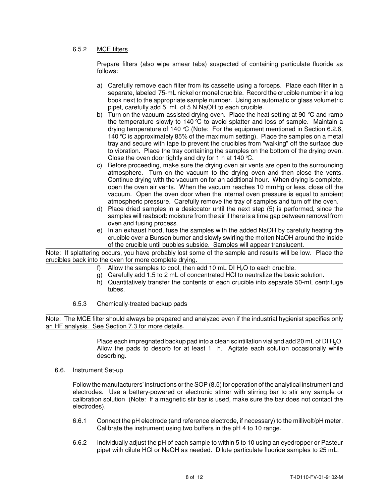# 6.5.2 MCE filters

 Prepare filters (also wipe smear tabs) suspected of containing particulate fluoride as follows:

- a) Carefully remove each filter from its cassette using a forceps. Place each filter in a separate, labeled 75-mL nickel or monel crucible. Record the crucible number in a log book next to the appropriate sample number. Using an automatic or glass volumetric pipet, carefully add 5 mL of 5 N NaOH to each crucible.
- b) Turn on the vacuum-assisted drying oven. Place the heat setting at 90  $^{\circ}\textrm{C}$  and ramp the temperature slowly to 140 °C to avoid splatter and loss of sample. Maintain a drying temperature of 140 °C (Note: For the equipment mentioned in Section 6.2.6, 140 °C is approximately 85% of the maximum setting). Place the samples on a metal tray and secure with tape to prevent the crucibles from "walking" off the surface due to vibration. Place the tray containing the samples on the bottom of the drying oven. Close the oven door tightly and dry for 1 h at 140 °C.
- c) Before proceeding, make sure the drying oven air vents are open to the surrounding atmosphere. Turn on the vacuum to the drying oven and then close the vents. Continue drying with the vacuum on for an additional hour. When drying is complete, open the oven air vents. When the vacuum reaches 10 mmHg or less, close off the vacuum. Open the oven door when the internal oven pressure is equal to ambient atmospheric pressure. Carefully remove the tray of samples and turn off the oven.
- d) Place dried samples in a desiccator until the next step (5) is performed, since the samples will reabsorb moisture from the air if there is a time gap between removal from oven and fusing process.
- e) In an exhaust hood, fuse the samples with the added NaOH by carefully heating the crucible over a Bunsen burner and slowly swirling the molten NaOH around the inside of the crucible until bubbles subside. Samples will appear translucent.

 Note: If splattering occurs, you have probably lost some of the sample and results will be low. Place the crucibles back into the oven for more complete drying.

- f) Allow the samples to cool, then add 10 mL DI  $H_2O$  to each crucible.
- g) Carefully add 1.5 to 2 mL of concentrated HCl to neutralize the basic solution.
- h) Quantitatively transfer the contents of each crucible into separate 50-mL centrifuge tubes.
- 6.5.3 Chemically-treated backup pads

 Note: The MCE filter should always be prepared and analyzed even if the industrial hygienist specifies only an HF analysis. See Section 7.3 for more details.

> Place each impregnated backup pad into a clean scintillation vial and add 20 mL of DI H<sub>2</sub>O. Allow the pads to desorb for at least 1 h. Agitate each solution occasionally while desorbing.

6.6. Instrument Set-up

 Follow the manufacturers' instructions or the SOP (8.5) for operation of the analytical instrument and electrodes. Use a battery-powered or electronic stirrer with stirring bar to stir any sample or calibration solution (Note: If a magnetic stir bar is used, make sure the bar does not contact the electrodes).

- 6.6.1 Connect the pH electrode (and reference electrode, if necessary) to the millivolt/pH meter. Calibrate the instrument using two buffers in the pH 4 to 10 range.
- 6.6.2 Individually adjust the pH of each sample to within 5 to 10 using an eyedropper or Pasteur pipet with dilute HCl or NaOH as needed. Dilute particulate fluoride samples to 25 mL.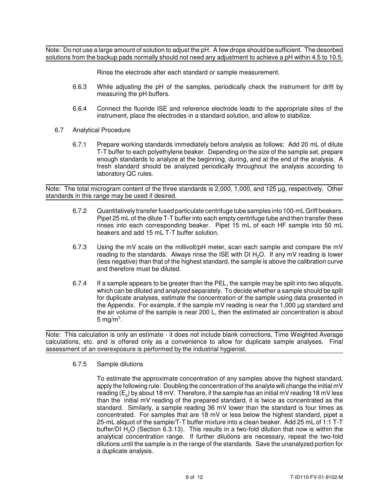Note: Do not use a large amount of solution to adjust the pH. A few drops should be sufficient. The desorbed solutions from the backup pads normally should not need any adjustment to achieve a pH within 4.5 to 10.5.

Rinse the electrode after each standard or sample measurement.

- 6.6.3 While adjusting the pH of the samples, periodically check the instrument for drift by measuring the pH buffers.
- 6.6.4 Connect the fluoride ISE and reference electrode leads to the appropriate sites of the instrument, place the electrodes in a standard solution, and allow to stabilize.
- 6.7 Analytical Procedure
	- 6.7.1 Prepare working standards immediately before analysis as follows: Add 20 mL of dilute T-T buffer to each polyethylene beaker. Depending on the size of the sample set, prepare enough standards to analyze at the beginning, during, and at the end of the analysis. A fresh standard should be analyzed periodically throughout the analysis according to laboratory QC rules.

 Note: The total microgram content of the three standards is 2,000, 1,000, and 125 µg, respectively. Other standards in this range may be used if desired.

- 6.7.2 Quantitativelytransfer fused particulate centrifuge tube samples into 100-mL Griff beakers. Pipet 25 mL of the dilute T-T buffer into each empty centrifuge tube and then transfer these rinses into each corresponding beaker. Pipet 15 mL of each HF sample into 50 mL beakers and add 15 mL T-T buffer solution.
- 6.7.3 Using the mV scale on the millivolt/pH meter, scan each sample and compare the mV reading to the standards. Always rinse the ISE with DI  $H_2O$ . If any mV reading is lower (less negative) than that of the highest standard, the sample is above the calibration curve and therefore must be diluted.
- 6.7.4 If a sample appears to be greater than the PEL, the sample may be split into two aliquots, which can be diluted and analyzed separately. To decide whether a sample should be split for duplicate analyses, estimate the concentration of the sample using data presented in the Appendix. For example, if the sample mV reading is near the 1,000 µg standard and the air volume of the sample is near 200 L, then the estimated air concentration is about 5 mg/m $^3$ .

 Note: This calculation is only an estimate - it does not include blank corrections, Time Weighted Average calculations, etc. and is offered only as a convenience to allow for duplicate sample analyses. Final assessment of an overexposure is performed by the industrial hygienist.

#### 6.7.5 Sample dilutions

 To estimate the approximate concentration of any samples above the highest standard, apply the following rule: Doubling the concentration of the analyte will change the initial mV reading (E $_{\rm o}$ ) by about 18 mV. Therefore, if the sample has an initial mV reading 18 mV less than the initial mV reading of the prepared standard, it is twice as concentrated as the standard. Similarly, a sample reading 36 mV lower than the standard is four times as concentrated. For samples that are 18 mV or less below the highest standard, pipet a 25-mL aliquot of the sample/T-T buffer mixture into a clean beaker. Add 25 mL of 1:1 T-T buffer/DI  $H_2O$  (Section 6.3.13). This results in a two-fold dilution that now is within the analytical concentration range. If further dilutions are necessary, repeat the two-fold dilutions until the sample is in the range of the standards. Save the unanalyzed portion for a duplicate analysis.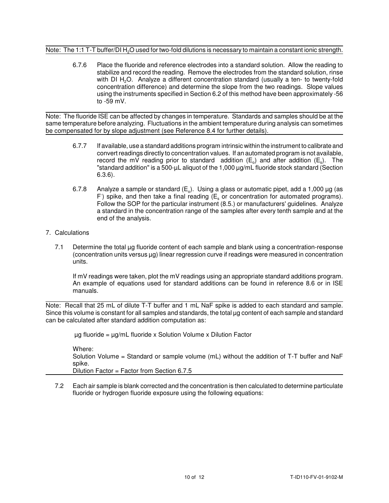# Note: The 1:1 T-T buffer/DI  $H_2O$  used for two-fold dilutions is necessary to maintain a constant ionic strength.

 6.7.6 Place the fluoride and reference electrodes into a standard solution. Allow the reading to stabilize and record the reading. Remove the electrodes from the standard solution, rinse with DI  $H_2O$ . Analyze a different concentration standard (usually a ten- to twenty-fold concentration difference) and determine the slope from the two readings. Slope values using the instruments specified in Section 6.2 of this method have been approximately -56 to -59 mV.

 Note: The fluoride ISE can be affected by changes in temperature. Standards and samples should be at the same temperature before analyzing. Fluctuations in the ambient temperature during analysis can sometimes be compensated for by slope adjustment (see Reference 8.4 for further details).

- 6.7.7 If available, use a standard additions program intrinsic within the instrument to calibrate and convert readings directly to concentration values. If an automated program is not available, record the mV reading prior to standard addition ( $E_o$ ) and after addition ( $E_s$ ). The "standard addition" is a 500-µL aliquot of the 1,000 µg/mL fluoride stock standard (Section  $6.3.6$ ).
- 6.3.6). 6.7.8 Analyze a sample or standard (Eo). Using a glass or automatic pipet, add a 1,000 µg (as F) spike, and then take a final reading ( $E<sub>s</sub>$  or concentration for automated programs). Follow the SOP for the particular instrument (8.5.) or manufacturers' guidelines. Analyze a standard in the concentration range of the samples after every tenth sample and at the end of the analysis.

# 7. Calculations

 7.1 Determine the total µg fluoride content of each sample and blank using a concentration-response (concentration units versus µg) linear regression curve if readings were measured in concentration units.

 If mV readings were taken, plot the mV readings using an appropriate standard additions program. An example of equations used for standard additions can be found in reference 8.6 or in ISE manuals.

 Note: Recall that 25 mL of dilute T-T buffer and 1 mL NaF spike is added to each standard and sample. Since this volume is constant for all samples and standards, the total µg content of each sample and standard can be calculated after standard addition computation as:

 $\mu$ g fluoride =  $\mu$ g/mL fluoride x Solution Volume x Dilution Factor

 Solution Volume = Standard or sample volume (mL) without the addition of T-T buffer and NaF Dilution Factor = Factor from Section 6.7.5 Where: spike.

 7.2 Each air sample is blank corrected and the concentration is then calculated to determine particulate fluoride or hydrogen fluoride exposure using the following equations: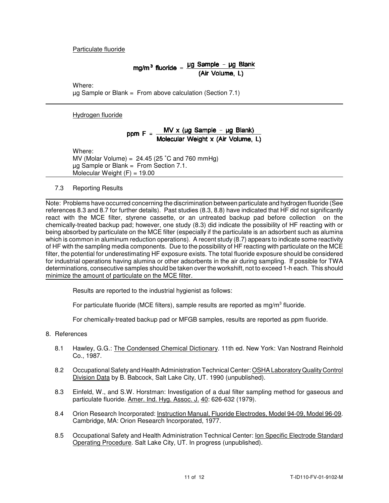# Particulate fluoride

# mg/m<sup>3</sup> fluoride =  $\frac{\mu g}{\sqrt{4 \pi} M}$ (Air Volume, L)

Where:

µg Sample or Blank = From above calculation (Section 7.1)

Hydrogen fluoride

ppm F = 
$$
\frac{MV \times (\mu g \text{ Sample} - \mu g \text{ Blank})}{\text{Molecular Weight} \times (\text{Air Volume, L})}
$$

Where:

MV (Molar Volume) =  $24.45$  (25 °C and 760 mmHg) µg Sample or Blank = From Section 7.1. Molecular Weight (F) = 19.00

7.3 Reporting Results

 Note: Problems have occurred concerning the discrimination between particulate and hydrogen fluoride (See references 8.3 and 8.7 for further details). Past studies (8.3, 8.8) have indicated that HF did not significantly react with the MCE filter, styrene cassette, or an untreated backup pad before collection on the chemically-treated backup pad; however, one study (8.3) did indicate the possibility of HF reacting with or being absorbed by particulate on the MCE filter (especially if the particulate is an adsorbent such as alumina which is common in aluminum reduction operations). A recent study (8.7) appears to indicate some reactivity of HF with the sampling media components. Due to the possibility of HF reacting with particulate on the MCE filter, the potential for underestimating HF exposure exists. The total fluoride exposure should be considered for industrial operations having alumina or other adsorbents in the air during sampling. If possible for TWA determinations, consecutive samples should be taken over the workshift, not to exceed 1-h each. This should minimize the amount of particulate on the MCE filter.

Results are reported to the industrial hygienist as follows:

For particulate fluoride (MCE filters), sample results are reported as mg/m<sup>3</sup> fluoride.

For chemically-treated backup pad or MFGB samples, results are reported as ppm fluoride.

- 8. References
	- 8.1 Hawley, G.G.: The Condensed Chemical Dictionary. 11th ed. New York: Van Nostrand Reinhold Co., 1987.
	- 8.2 Occupational Safety and Health Administration Technical Center: OSHA Laboratory Quality Control Division Data by B. Babcock, Salt Lake City, UT. 1990 (unpublished).
	- 8.3 Einfeld, W., and S.W. Horstman: Investigation of a dual filter sampling method for gaseous and particulate fluoride. <u>Amer. Ind. Hyg. Assoc. J. 40</u>: 626-632 (1979).
	- 8.4 Orion Research Incorporated: <u>Instruction Manual, Fluoride Electrodes, Model 94-09, Model 96-09</u>. Cambridge, MA: Orion Research Incorporated, 1977.
	- 8.5 Occupational Safety and Health Administration Technical Center: <u>Ion Specific Electrode Standard</u> Operating Procedure. Salt Lake City, UT. In progress (unpublished).